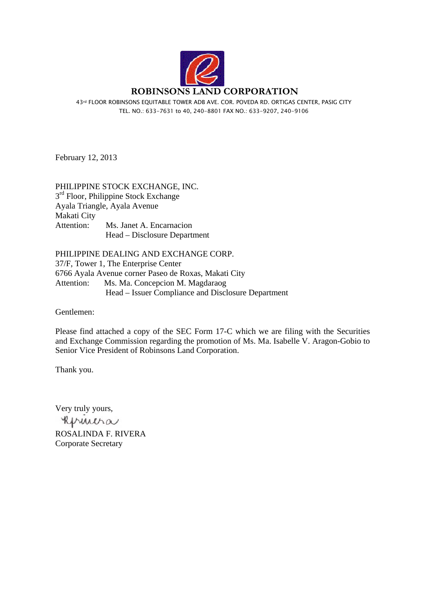

43rd FLOOR ROBINSONS EQUITABLE TOWER ADB AVE. COR. POVEDA RD. ORTIGAS CENTER, PASIG CITY TEL. NO.: 633-7631 to 40, 240-8801 FAX NO.: 633-9207, 240-9106

February 12, 2013

# PHILIPPINE STOCK EXCHANGE, INC.  $3<sup>rd</sup>$  Floor, Philippine Stock Exchange Ayala Triangle, Ayala Avenue Makati City Attention: Ms. Janet A. Encarnacion Head – Disclosure Department

PHILIPPINE DEALING AND EXCHANGE CORP. 37/F, Tower 1, The Enterprise Center 6766 Ayala Avenue corner Paseo de Roxas, Makati City Attention: Ms. Ma. Concepcion M. Magdaraog Head – Issuer Compliance and Disclosure Department

Gentlemen:

Please find attached a copy of the SEC Form 17-C which we are filing with the Securities and Exchange Commission regarding the promotion of Ms. Ma. Isabelle V. Aragon-Gobio to Senior Vice President of Robinsons Land Corporation.

Thank you.

Very truly yours,

Reprintina

ROSALINDA F. RIVERA Corporate Secretary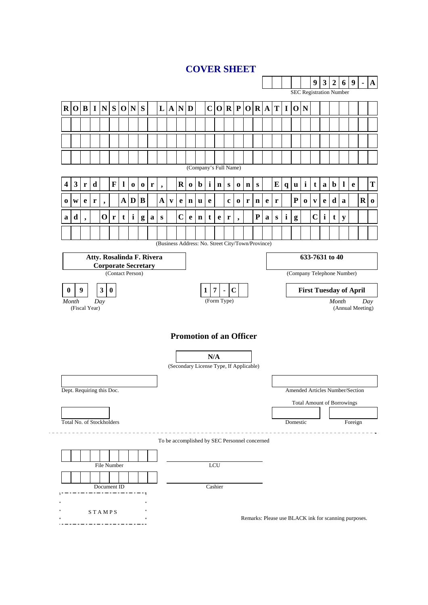# **COVER SHEET**

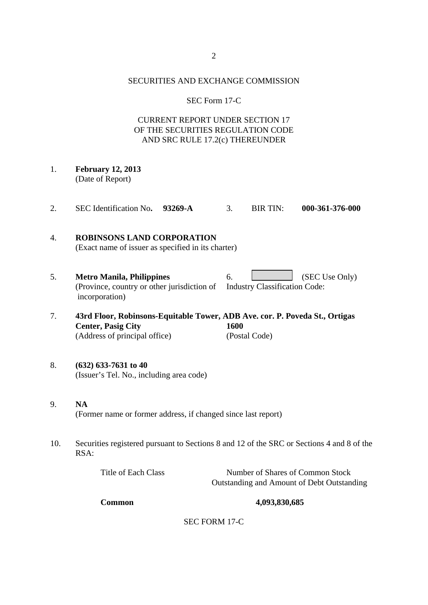#### SECURITIES AND EXCHANGE COMMISSION

#### SEC Form 17-C

# CURRENT REPORT UNDER SECTION 17 OF THE SECURITIES REGULATION CODE AND SRC RULE 17.2(c) THEREUNDER

- 1. **February 12, 2013**  (Date of Report)
- 2. SEC Identification No**. 93269-A** 3. BIR TIN: **000-361-376-000**

## 4. **ROBINSONS LAND CORPORATION**  (Exact name of issuer as specified in its charter)

- 5. **Metro Manila, Philippines** 6. (SEC Use Only) (Province, country or other jurisdiction of Industry Classification Code: incorporation)
- 7. **43rd Floor, Robinsons-Equitable Tower, ADB Ave. cor. P. Poveda St., Ortigas Center, Pasig City 1600**  (Address of principal office) (Postal Code)
- 8. **(632) 633-7631 to 40**  (Issuer's Tel. No., including area code)
- 9. **NA**  (Former name or former address, if changed since last report)
- 10. Securities registered pursuant to Sections 8 and 12 of the SRC or Sections 4 and 8 of the RSA:

| Title of Each Class | Number of Shares of Common Stock           |
|---------------------|--------------------------------------------|
|                     | Outstanding and Amount of Debt Outstanding |

#### **Common 4,093,830,685**

SEC FORM 17-C